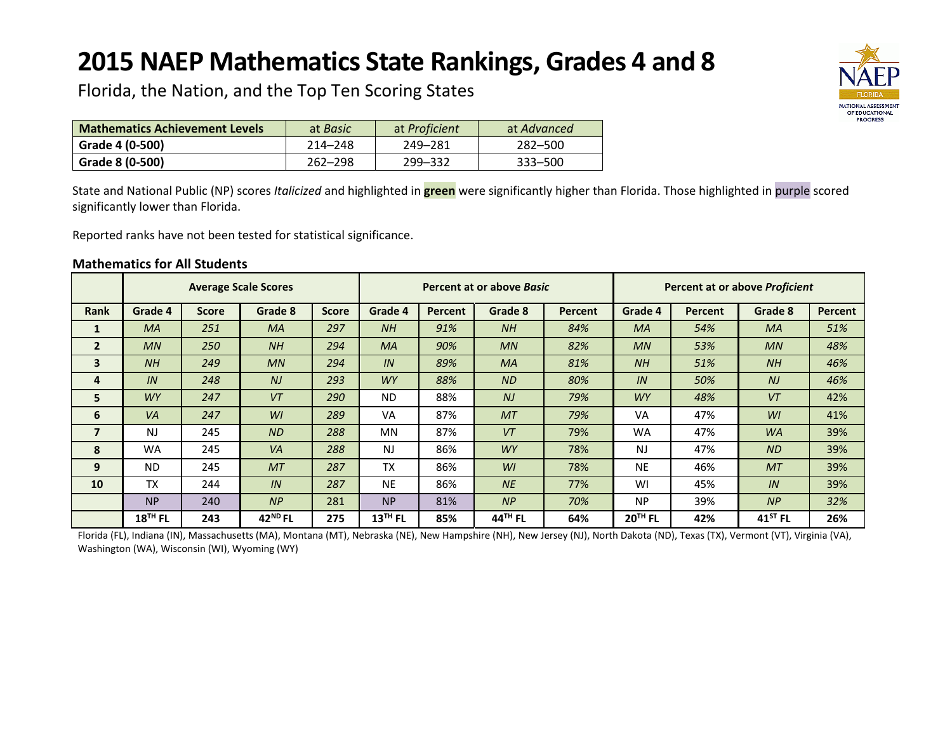# **2015 NAEP Mathematics State Rankings, Grades 4 and 8**



Florida, the Nation, and the Top Ten Scoring States

| <b>Mathematics Achievement Levels</b> | at <i>Basic</i> | at <i>Proficient</i> | at Advanced |
|---------------------------------------|-----------------|----------------------|-------------|
| Grade 4 (0-500)                       | 214-248         | 249–281              | 282–500     |
| Grade 8 (0-500)                       | $262 - 298$     | 299-332              | $333 - 500$ |

State and National Public (NP) scores *Italicized* and highlighted in **green** were significantly higher than Florida. Those highlighted in purple scored significantly lower than Florida.

Reported ranks have not been tested for statistical significance.

#### **Mathematics for All Students**

|                         |                |              | <b>Average Scale Scores</b> |              |           |         | Percent at or above Basic |         | Percent at or above <i>Proficient</i> |         |                |                |
|-------------------------|----------------|--------------|-----------------------------|--------------|-----------|---------|---------------------------|---------|---------------------------------------|---------|----------------|----------------|
| <b>Rank</b>             | Grade 4        | <b>Score</b> | Grade 8                     | <b>Score</b> | Grade 4   | Percent | Grade 8                   | Percent | Grade 4                               | Percent | Grade 8        | <b>Percent</b> |
| 1                       | <b>MA</b>      | 251          | <b>MA</b>                   | 297          | NH        | 91%     | NH                        | 84%     | <b>MA</b>                             | 54%     | <b>MA</b>      | 51%            |
| $\overline{2}$          | MN             | 250          | NH                          | 294          | <b>MA</b> | 90%     | MN                        | 82%     | MN                                    | 53%     | MN             | 48%            |
| 3                       | NH             | 249          | MN                          | 294          | IN        | 89%     | <b>MA</b>                 | 81%     | NH                                    | 51%     | <b>NH</b>      | 46%            |
| 4                       | IN             | 248          | N <sub>J</sub>              | 293          | <b>WY</b> | 88%     | ND                        | 80%     | IN                                    | 50%     | N <sub>J</sub> | 46%            |
| 5                       | <b>WY</b>      | 247          | VT                          | 290          | <b>ND</b> | 88%     | NJ                        | 79%     | <b>WY</b>                             | 48%     | VT             | 42%            |
| 6                       | VA             | 247          | WI                          | 289          | VA        | 87%     | <b>MT</b>                 | 79%     | VA                                    | 47%     | W <sub>l</sub> | 41%            |
| $\overline{\mathbf{z}}$ | N <sub>J</sub> | 245          | <b>ND</b>                   | 288          | <b>MN</b> | 87%     | VT                        | 79%     | <b>WA</b>                             | 47%     | <b>WA</b>      | 39%            |
| 8                       | <b>WA</b>      | 245          | VA                          | 288          | <b>NJ</b> | 86%     | <b>WY</b>                 | 78%     | <b>NJ</b>                             | 47%     | <b>ND</b>      | 39%            |
| 9                       | <b>ND</b>      | 245          | MT                          | 287          | <b>TX</b> | 86%     | Wl                        | 78%     | <b>NE</b>                             | 46%     | <b>MT</b>      | 39%            |
| 10                      | <b>TX</b>      | 244          | IN                          | 287          | <b>NE</b> | 86%     | <b>NE</b>                 | 77%     | WI                                    | 45%     | IN             | 39%            |
|                         | <b>NP</b>      | 240          | NP                          | 281          | <b>NP</b> | 81%     | NP                        | 70%     | <b>NP</b>                             | 39%     | NP             | 32%            |
|                         | $18TH$ FL      | 243          | 42 <sup>ND</sup> FL         | 275          | $13TH$ FL | 85%     | 44 <sup>TH</sup> FL       | 64%     | $20TH$ FL                             | 42%     | $41^{ST}$ FL   | 26%            |

Florida (FL), Indiana (IN), Massachusetts (MA), Montana (MT), Nebraska (NE), New Hampshire (NH), New Jersey (NJ), North Dakota (ND), Texas (TX), Vermont (VT), Virginia (VA), Washington (WA), Wisconsin (WI), Wyoming (WY)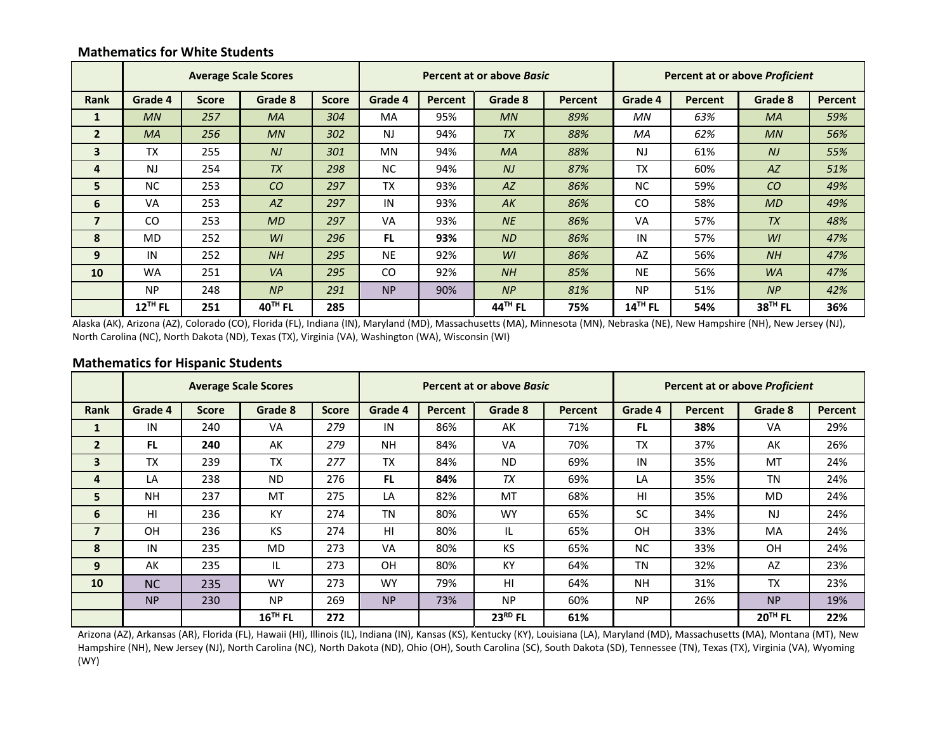## **Mathematics for White Students**

|                |                       |              | <b>Average Scale Scores</b> |              |           |         | Percent at or above Basic |         | Percent at or above <i>Proficient</i> |                |                |         |
|----------------|-----------------------|--------------|-----------------------------|--------------|-----------|---------|---------------------------|---------|---------------------------------------|----------------|----------------|---------|
| <b>Rank</b>    | Grade 4               | <b>Score</b> | Grade 8                     | <b>Score</b> | Grade 4   | Percent | Grade 8                   | Percent | Grade 4                               | <b>Percent</b> | Grade 8        | Percent |
| 1              | MN                    | 257          | <b>MA</b>                   | 304          | <b>MA</b> | 95%     | MN                        | 89%     | <b>MN</b>                             | 63%            | <b>MA</b>      | 59%     |
| $\overline{2}$ | <b>MA</b>             | 256          | MN                          | 302          | <b>NJ</b> | 94%     | <b>TX</b>                 | 88%     | MA                                    | 62%            | MN             | 56%     |
| 3              | <b>TX</b>             | 255          | NJ                          | 301          | <b>MN</b> | 94%     | <b>MA</b>                 | 88%     | <b>NJ</b>                             | 61%            | N <sub>J</sub> | 55%     |
| 4              | <b>NJ</b>             | 254          | <b>TX</b>                   | 298          | <b>NC</b> | 94%     | N <sub>J</sub>            | 87%     | <b>TX</b>                             | 60%            | AZ             | 51%     |
| 5              | <b>NC</b>             | 253          | CO                          | 297          | <b>TX</b> | 93%     | AZ                        | 86%     | <b>NC</b>                             | 59%            | CO             | 49%     |
| 6              | <b>VA</b>             | 253          | A Z                         | 297          | IN        | 93%     | AK                        | 86%     | <b>CO</b>                             | 58%            | <b>MD</b>      | 49%     |
| $\overline{7}$ | CO                    | 253          | MD                          | 297          | VA        | 93%     | <b>NE</b>                 | 86%     | <b>VA</b>                             | 57%            | <b>TX</b>      | 48%     |
| 8              | <b>MD</b>             | 252          | WI                          | 296          | <b>FL</b> | 93%     | <b>ND</b>                 | 86%     | IN                                    | 57%            | W <sub>l</sub> | 47%     |
| 9              | IN                    | 252          | NH                          | 295          | <b>NE</b> | 92%     | WI                        | 86%     | AZ                                    | 56%            | NH             | 47%     |
| 10             | <b>WA</b>             | 251          | <b>VA</b>                   | 295          | CO        | 92%     | NH                        | 85%     | <b>NE</b>                             | 56%            | <b>WA</b>      | 47%     |
|                | <b>NP</b>             | 248          | NP                          | 291          | <b>NP</b> | 90%     | NP                        | 81%     | <b>NP</b>                             | 51%            | NP             | 42%     |
|                | $12$ <sup>TH</sup> FL | 251          | $40TH$ FL                   | 285          |           |         | 44 <sup>TH</sup> FL       | 75%     | $14$ <sup>TH</sup> FL                 | 54%            | $38TH$ FL      | 36%     |

Alaska (AK), Arizona (AZ), Colorado (CO), Florida (FL), Indiana (IN), Maryland (MD), Massachusetts (MA), Minnesota (MN), Nebraska (NE), New Hampshire (NH), New Jersey (NJ), North Carolina (NC), North Dakota (ND), Texas (TX), Virginia (VA), Washington (WA), Wisconsin (WI)

#### **Mathematics for Hispanic Students**

|                |           |              | <b>Average Scale Scores</b> |              | Percent at or above Basic |                |           |         | <b>Percent at or above Proficient</b> |         |           |         |
|----------------|-----------|--------------|-----------------------------|--------------|---------------------------|----------------|-----------|---------|---------------------------------------|---------|-----------|---------|
| <b>Rank</b>    | Grade 4   | <b>Score</b> | Grade 8                     | <b>Score</b> | Grade 4                   | <b>Percent</b> | Grade 8   | Percent | Grade 4                               | Percent | Grade 8   | Percent |
|                | IN        | 240          | VA                          | 279          | IN                        | 86%            | AK        | 71%     | FL.                                   | 38%     | VA        | 29%     |
| $\overline{2}$ | <b>FL</b> | 240          | AK                          | 279          | <b>NH</b>                 | 84%            | VA        | 70%     | <b>TX</b>                             | 37%     | AK        | 26%     |
| 3              | <b>TX</b> | 239          | <b>TX</b>                   | 277          | <b>TX</b>                 | 84%            | <b>ND</b> | 69%     | IN                                    | 35%     | MT        | 24%     |
| 4              | LA        | 238          | <b>ND</b>                   | 276          | <b>FL</b>                 | 84%            | <b>TX</b> | 69%     | LA                                    | 35%     | <b>TN</b> | 24%     |
| 5              | <b>NH</b> | 237          | MT                          | 275          | LA                        | 82%            | MT        | 68%     | HI                                    | 35%     | <b>MD</b> | 24%     |
| 6              | HI        | 236          | <b>KY</b>                   | 274          | TN                        | 80%            | <b>WY</b> | 65%     | <b>SC</b>                             | 34%     | <b>NJ</b> | 24%     |
|                | OH        | 236          | KS                          | 274          | HI                        | 80%            | IL        | 65%     | <b>OH</b>                             | 33%     | MA        | 24%     |
| 8              | IN        | 235          | <b>MD</b>                   | 273          | <b>VA</b>                 | 80%            | <b>KS</b> | 65%     | <b>NC</b>                             | 33%     | <b>OH</b> | 24%     |
| 9              | AK        | 235          | IL                          | 273          | <b>OH</b>                 | 80%            | <b>KY</b> | 64%     | <b>TN</b>                             | 32%     | AZ        | 23%     |
| 10             | <b>NC</b> | 235          | <b>WY</b>                   | 273          | <b>WY</b>                 | 79%            | HI        | 64%     | <b>NH</b>                             | 31%     | TX        | 23%     |
|                | <b>NP</b> | 230          | <b>NP</b>                   | 269          | <b>NP</b>                 | 73%            | <b>NP</b> | 60%     | <b>NP</b>                             | 26%     | <b>NP</b> | 19%     |
|                |           |              | $16$ <sup>TH</sup> FL       | 272          |                           |                | $23RD$ FL | 61%     |                                       |         | $20TH$ FL | 22%     |

Arizona (AZ), Arkansas (AR), Florida (FL), Hawaii (HI), Illinois (IL), Indiana (IN), Kansas (KS), Kentucky (KY), Louisiana (LA), Maryland (MD), Massachusetts (MA), Montana (MT), New Hampshire (NH), New Jersey (NJ), North Carolina (NC), North Dakota (ND), Ohio (OH), South Carolina (SC), South Dakota (SD), Tennessee (TN), Texas (TX), Virginia (VA), Wyoming (WY)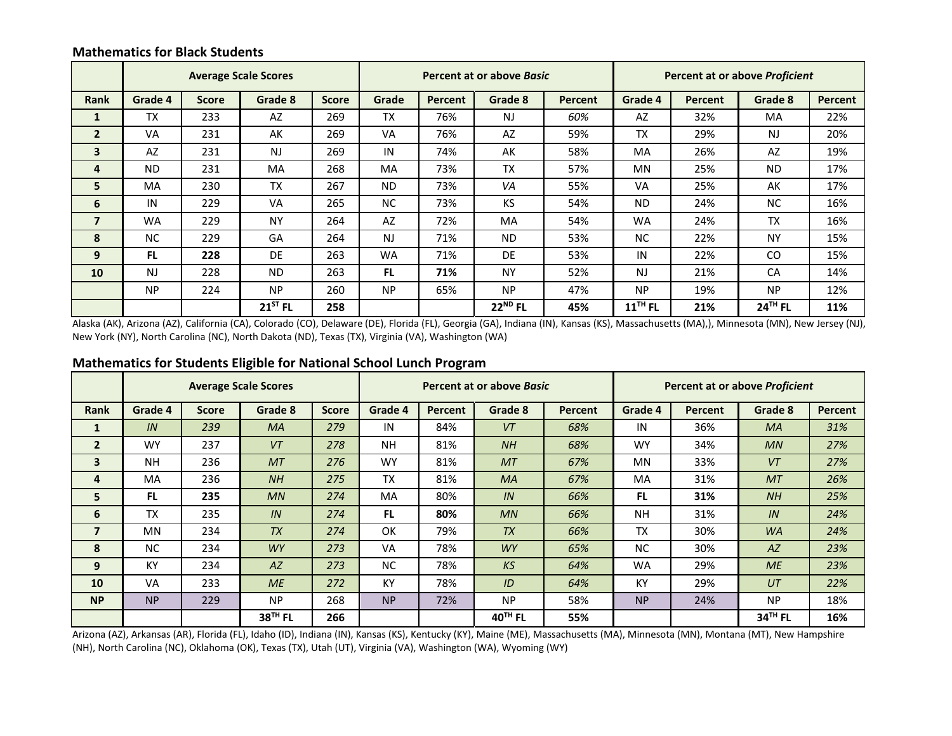## **Mathematics for Black Students**

|                |           |              | <b>Average Scale Scores</b> |              |           |         | Percent at or above Basic |         | Percent at or above Proficient |         |           |         |
|----------------|-----------|--------------|-----------------------------|--------------|-----------|---------|---------------------------|---------|--------------------------------|---------|-----------|---------|
| <b>Rank</b>    | Grade 4   | <b>Score</b> | Grade 8                     | <b>Score</b> | Grade     | Percent | Grade 8                   | Percent | Grade 4                        | Percent | Grade 8   | Percent |
| 1              | <b>TX</b> | 233          | AZ                          | 269          | <b>TX</b> | 76%     | N <sub>J</sub>            | 60%     | AZ                             | 32%     | MA        | 22%     |
| $\overline{2}$ | VA        | 231          | AK                          | 269          | <b>VA</b> | 76%     | AZ                        | 59%     | <b>TX</b>                      | 29%     | <b>NJ</b> | 20%     |
| 3              | AZ        | 231          | <b>NJ</b>                   | 269          | IN        | 74%     | AK                        | 58%     | MA                             | 26%     | AZ        | 19%     |
| 4              | <b>ND</b> | 231          | <b>MA</b>                   | 268          | <b>MA</b> | 73%     | <b>TX</b>                 | 57%     | <b>MN</b>                      | 25%     | <b>ND</b> | 17%     |
| 5              | <b>MA</b> | 230          | <b>TX</b>                   | 267          | <b>ND</b> | 73%     | VA                        | 55%     | VA                             | 25%     | AK        | 17%     |
| 6              | IN        | 229          | <b>VA</b>                   | 265          | <b>NC</b> | 73%     | KS                        | 54%     | <b>ND</b>                      | 24%     | <b>NC</b> | 16%     |
| $\overline{7}$ | <b>WA</b> | 229          | <b>NY</b>                   | 264          | AZ        | 72%     | <b>MA</b>                 | 54%     | <b>WA</b>                      | 24%     | <b>TX</b> | 16%     |
| 8              | <b>NC</b> | 229          | GA                          | 264          | <b>NJ</b> | 71%     | <b>ND</b>                 | 53%     | NC.                            | 22%     | <b>NY</b> | 15%     |
| 9              | <b>FL</b> | 228          | DE                          | 263          | <b>WA</b> | 71%     | DE                        | 53%     | IN                             | 22%     | CO        | 15%     |
| 10             | <b>NJ</b> | 228          | <b>ND</b>                   | 263          | FL.       | 71%     | <b>NY</b>                 | 52%     | <b>NJ</b>                      | 21%     | CA        | 14%     |
|                | <b>NP</b> | 224          | <b>NP</b>                   | 260          | <b>NP</b> | 65%     | <b>NP</b>                 | 47%     | <b>NP</b>                      | 19%     | <b>NP</b> | 12%     |
|                |           |              | $21^{ST}$ FL                | 258          |           |         | $22^{ND}$ FL              | 45%     | $11^{\text{TH}}$ FL            | 21%     | $24TH$ FL | 11%     |

Alaska (AK), Arizona (AZ), California (CA), Colorado (CO), Delaware (DE), Florida (FL), Georgia (GA), Indiana (IN), Kansas (KS), Massachusetts (MA),), Minnesota (MN), New Jersey (NJ), New York (NY), North Carolina (NC), North Dakota (ND), Texas (TX), Virginia (VA), Washington (WA)

#### **Mathematics for Students Eligible for National School Lunch Program**

|                |           |              | <b>Average Scale Scores</b> |              |           |                | Percent at or above Basic |                | <b>Percent at or above Proficient</b> |         |                     |                |
|----------------|-----------|--------------|-----------------------------|--------------|-----------|----------------|---------------------------|----------------|---------------------------------------|---------|---------------------|----------------|
| <b>Rank</b>    | Grade 4   | <b>Score</b> | Grade 8                     | <b>Score</b> | Grade 4   | <b>Percent</b> | Grade 8                   | <b>Percent</b> | Grade 4                               | Percent | Grade 8             | <b>Percent</b> |
| 1              | IN        | 239          | <b>MA</b>                   | 279          | IN        | 84%            | VT                        | 68%            | IN                                    | 36%     | <b>MA</b>           | 31%            |
| $\overline{2}$ | <b>WY</b> | 237          | VT                          | 278          | <b>NH</b> | 81%            | NH                        | 68%            | <b>WY</b>                             | 34%     | MN                  | 27%            |
| 3              | <b>NH</b> | 236          | <b>MT</b>                   | 276          | <b>WY</b> | 81%            | <b>MT</b>                 | 67%            | <b>MN</b>                             | 33%     | VT                  | 27%            |
| 4              | <b>MA</b> | 236          | NH                          | 275          | <b>TX</b> | 81%            | <b>MA</b>                 | 67%            | <b>MA</b>                             | 31%     | MT                  | 26%            |
| 5              | FL.       | 235          | MN                          | 274          | <b>MA</b> | 80%            | IN                        | 66%            | FL.                                   | 31%     | NH                  | 25%            |
| 6              | <b>TX</b> | 235          | IN                          | 274          | <b>FL</b> | 80%            | MN                        | 66%            | <b>NH</b>                             | 31%     | IN                  | 24%            |
| $\overline{7}$ | <b>MN</b> | 234          | <b>TX</b>                   | 274          | OK        | 79%            | <b>TX</b>                 | 66%            | <b>TX</b>                             | 30%     | <b>WA</b>           | 24%            |
| 8              | <b>NC</b> | 234          | <b>WY</b>                   | 273          | VA        | 78%            | <b>WY</b>                 | 65%            | <b>NC</b>                             | 30%     | AZ                  | 23%            |
| 9              | <b>KY</b> | 234          | AZ                          | 273          | <b>NC</b> | 78%            | KS                        | 64%            | <b>WA</b>                             | 29%     | ME                  | 23%            |
| 10             | <b>VA</b> | 233          | <b>ME</b>                   | 272          | KY        | 78%            | ID                        | 64%            | KY                                    | 29%     | UT                  | 22%            |
| <b>NP</b>      | <b>NP</b> | 229          | <b>NP</b>                   | 268          | <b>NP</b> | 72%            | <b>NP</b>                 | 58%            | <b>NP</b>                             | 24%     | <b>NP</b>           | 18%            |
|                |           |              | 38 <sup>TH</sup> FL         | 266          |           |                | $40^{\text{TH}}$ FL       | 55%            |                                       |         | 34 <sup>TH</sup> FL | 16%            |

Arizona (AZ), Arkansas (AR), Florida (FL), Idaho (ID), Indiana (IN), Kansas (KS), Kentucky (KY), Maine (ME), Massachusetts (MA), Minnesota (MN), Montana (MT), New Hampshire (NH), North Carolina (NC), Oklahoma (OK), Texas (TX), Utah (UT), Virginia (VA), Washington (WA), Wyoming (WY)